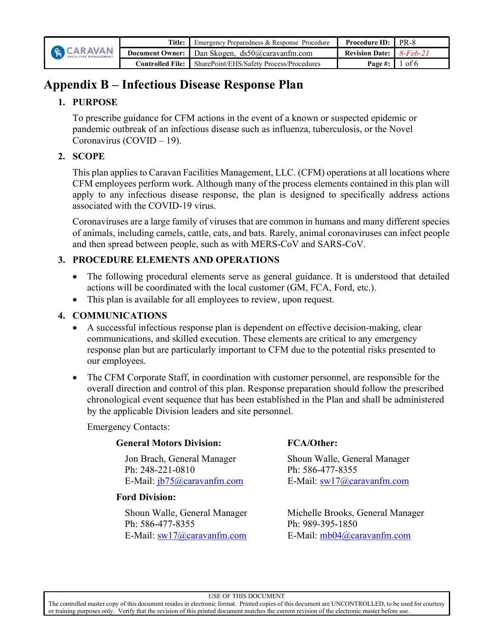| <b>G</b> CARAVAN | Title: | Emergency Preparedness & Response Procedure                      | <b>Procedure ID:</b> PR-8         |  |
|------------------|--------|------------------------------------------------------------------|-----------------------------------|--|
|                  |        | <b>Document Owner:</b> Dan Skogen, $ds50$ @ caravanfm.com        | <b>Revision Date:</b> $8$ -Feb-21 |  |
|                  |        | <b>Controlled File:</b> SharePoint/EHS/Safety Process/Procedures | Page #: $\vert$ 1 of 6            |  |

# Appendix B – Infectious Disease Response Plan

# 1. PURPOSE

To prescribe guidance for CFM actions in the event of a known or suspected epidemic or pandemic outbreak of an infectious disease such as influenza, tuberculosis, or the Novel Coronavirus (COVID – 19).

# 2. SCOPE

This plan applies to Caravan Facilities Management, LLC. (CFM) operations at all locations where CFM employees perform work. Although many of the process elements contained in this plan will apply to any infectious disease response, the plan is designed to specifically address actions associated with the COVID-19 virus.

Coronaviruses are a large family of viruses that are common in humans and many different species of animals, including camels, cattle, cats, and bats. Rarely, animal coronaviruses can infect people and then spread between people, such as with MERS-CoV and SARS-CoV.

# 3. PROCEDURE ELEMENTS AND OPERATIONS

- The following procedural elements serve as general guidance. It is understood that detailed actions will be coordinated with the local customer (GM, FCA, Ford, etc.).
- This plan is available for all employees to review, upon request.

# 4. COMMUNICATIONS

- A successful infectious response plan is dependent on effective decision-making, clear communications, and skilled execution. These elements are critical to any emergency response plan but are particularly important to CFM due to the potential risks presented to our employees.
- The CFM Corporate Staff, in coordination with customer personnel, are responsible for the overall direction and control of this plan. Response preparation should follow the prescribed chronological event sequence that has been established in the Plan and shall be administered by the applicable Division leaders and site personnel.

Emergency Contacts:

#### General Motors Division: FCA/Other:

Ph: 248-221-0810 Ph: 586-477-8355

### Ford Division:

Ph: 586-477-8355 Ph: 989-395-1850

Jon Brach, General Manager Shoun Walle, General Manager E-Mail:  $i\frac{b}{75}$   $\frac{a}{2}$  caravanfm.com E-Mail: sw17 $\frac{a}{2}$  caravanfm.com

Shoun Walle, General Manager Michelle Brooks, General Manager E-Mail: sw17@caravanfm.com E-Mail: mb04@caravanfm.com

USE OF THIS DOCUMENT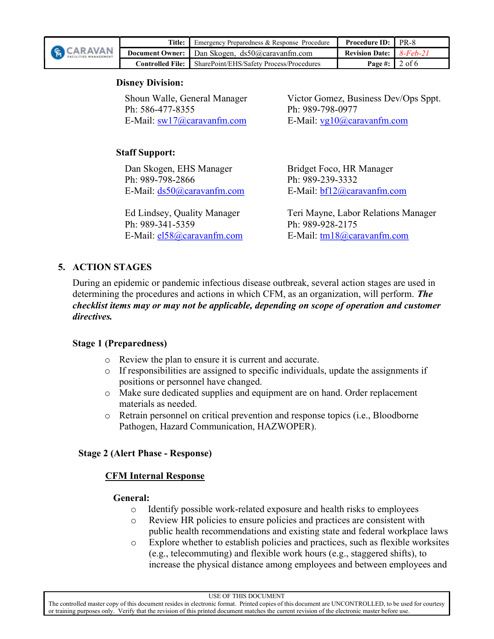| <b>G</b> CARAVAN | Title:             | Emergency Preparedness & Response Procedure              | <b>Procedure ID:</b> PR-8      |          |
|------------------|--------------------|----------------------------------------------------------|--------------------------------|----------|
|                  |                    | <b>Document Owner:</b> Dan Skogen, $ds50$ @caravanfm.com | <b>Revision Date:</b> 8-Feb-21 |          |
|                  | Controlled File: 1 | SharePoint/EHS/Safety Process/Procedures                 | Page #: $\blacksquare$         | $2$ of 6 |

#### Disney Division:

Ph: 586-477-8355 Ph: 989-798-0977 E-Mail: sw17@caravanfm.com E-Mail: vg10@caravanfm.com

Shoun Walle, General Manager Victor Gomez, Business Dev/Ops Sppt.

#### Staff Support:

Dan Skogen, EHS Manager Bridget Foco, HR Manager Ph: 989-798-2866 Ph: 989-239-3332

Ph: 989-341-5359 Ph: 989-928-2175

E-Mail:  $ds50@caravanfm.com$  E-Mail:  $bf12@caravanfm.com$ 

Ed Lindsey, Quality Manager Teri Mayne, Labor Relations Manager E-Mail: el58@caravanfm.com E-Mail: tm18@caravanfm.com

### 5. ACTION STAGES

During an epidemic or pandemic infectious disease outbreak, several action stages are used in determining the procedures and actions in which CFM, as an organization, will perform. The checklist items may or may not be applicable, depending on scope of operation and customer directives.

### Stage 1 (Preparedness)

- o Review the plan to ensure it is current and accurate.
- o If responsibilities are assigned to specific individuals, update the assignments if positions or personnel have changed.
- o Make sure dedicated supplies and equipment are on hand. Order replacement materials as needed.
- o Retrain personnel on critical prevention and response topics (i.e., Bloodborne Pathogen, Hazard Communication, HAZWOPER).

#### Stage 2 (Alert Phase - Response)

#### CFM Internal Response

#### General:

- o Identify possible work-related exposure and health risks to employees
- o Review HR policies to ensure policies and practices are consistent with public health recommendations and existing state and federal workplace laws
- o Explore whether to establish policies and practices, such as flexible worksites (e.g., telecommuting) and flexible work hours (e.g., staggered shifts), to increase the physical distance among employees and between employees and

USE OF THIS DOCUMENT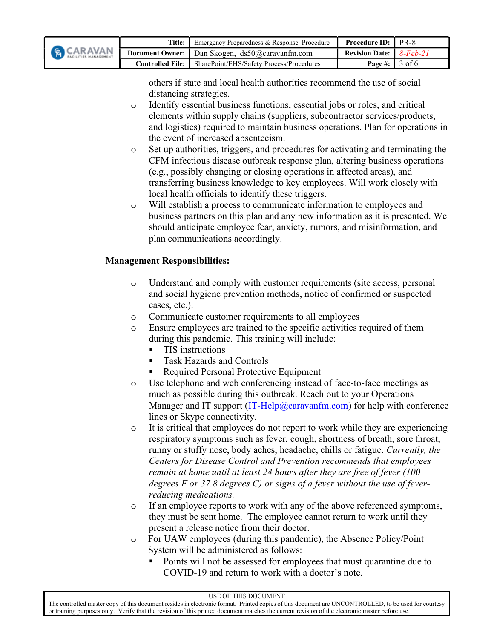| <b>GACARAVAN</b> | Title:                  | Emergency Preparedness & Response Procedure             | <b>Procedure ID: PR-8</b>         |          |
|------------------|-------------------------|---------------------------------------------------------|-----------------------------------|----------|
|                  |                         | <b>Document Owner:</b> Dan Skogen, $ds50@caravanfm.com$ | <b>Revision Date:</b> $8$ -Feb-21 |          |
|                  | <b>Controlled File:</b> | SharePoint/EHS/Safety Process/Procedures                | Page #: $\parallel$               | $3$ of 6 |

others if state and local health authorities recommend the use of social distancing strategies.

- o Identify essential business functions, essential jobs or roles, and critical elements within supply chains (suppliers, subcontractor services/products, and logistics) required to maintain business operations. Plan for operations in the event of increased absenteeism.
- o Set up authorities, triggers, and procedures for activating and terminating the CFM infectious disease outbreak response plan, altering business operations (e.g., possibly changing or closing operations in affected areas), and transferring business knowledge to key employees. Will work closely with local health officials to identify these triggers.
- o Will establish a process to communicate information to employees and business partners on this plan and any new information as it is presented. We should anticipate employee fear, anxiety, rumors, and misinformation, and plan communications accordingly.

### Management Responsibilities:

- o Understand and comply with customer requirements (site access, personal and social hygiene prevention methods, notice of confirmed or suspected cases, etc.).
- o Communicate customer requirements to all employees
- o Ensure employees are trained to the specific activities required of them during this pandemic. This training will include:
	- TIS instructions
	- Task Hazards and Controls
	- Required Personal Protective Equipment
- o Use telephone and web conferencing instead of face-to-face meetings as much as possible during this outbreak. Reach out to your Operations Manager and IT support (IT-Help@caravanfm.com) for help with conference lines or Skype connectivity.
- o It is critical that employees do not report to work while they are experiencing respiratory symptoms such as fever, cough, shortness of breath, sore throat, runny or stuffy nose, body aches, headache, chills or fatigue. Currently, the Centers for Disease Control and Prevention recommends that employees remain at home until at least 24 hours after they are free of fever (100 degrees F or 37.8 degrees C) or signs of a fever without the use of feverreducing medications.
- o If an employee reports to work with any of the above referenced symptoms, they must be sent home. The employee cannot return to work until they present a release notice from their doctor.
- o For UAW employees (during this pandemic), the Absence Policy/Point System will be administered as follows:
	- Points will not be assessed for employees that must quarantine due to COVID-19 and return to work with a doctor's note.

USE OF THIS DOCUMENT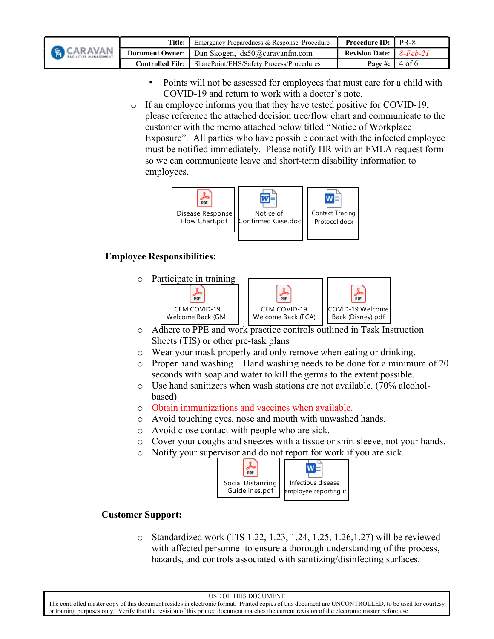| <b>G</b> CARAVAN | Title:             | Emergency Preparedness & Response Procedure                      | <b>Procedure ID:</b> 1         | PR-8 |
|------------------|--------------------|------------------------------------------------------------------|--------------------------------|------|
|                  |                    | <b>Document Owner:</b> $\Box$ Dan Skogen, $ds50@c$ caravanfm.com | <b>Revision Date:</b> 8-Feb-21 |      |
|                  | Controlled File: \ | SharePoint/EHS/Safety Process/Procedures                         | Page #: $\vert$ 4 of 6         |      |

- Points will not be assessed for employees that must care for a child with COVID-19 and return to work with a doctor's note.
- o If an employee informs you that they have tested positive for COVID-19, please reference the attached decision tree/flow chart and communicate to the customer with the memo attached below titled "Notice of Workplace Exposure". All parties who have possible contact with the infected employee must be notified immediately. Please notify HR with an FMLA request form so we can communicate leave and short-term disability information to employees. Experimentalthrough the mean that they have tested positive for COV iD-19,<br>
reference the attached decision tree/flow chart and communicate to the<br>
mer with the memo attached below titled "Notice of Workplace<br>
sure". All



# Employee Responsibilities:

o Participate in training



- o Adhere to PPE and work practice controls outlined in Task Instruction Sheets (TIS) or other pre-task plans
- o Wear your mask properly and only remove when eating or drinking.
- $\circ$  Proper hand washing Hand washing needs to be done for a minimum of 20 seconds with soap and water to kill the germs to the extent possible.
- o Use hand sanitizers when wash stations are not available. (70% alcoholbased)
- o Obtain immunizations and vaccines when available.
- o Avoid touching eyes, nose and mouth with unwashed hands.
- o Avoid close contact with people who are sick.
- o Cover your coughs and sneezes with a tissue or shirt sleeve, not your hands.
- o Notify your supervisor and do not report for work if you are sick.



Guidelines.pdf employee reporting ir structure to the structure of the structure of the structure of the structure of the structure of the structure of the structure of the structure of the structure of the structure of th Infectious disease

# Customer Support:

 $\circ$  Standardized work (TIS 1.22, 1.23, 1.24, 1.25, 1.26, 1.27) will be reviewed with affected personnel to ensure a thorough understanding of the process, hazards, and controls associated with sanitizing/disinfecting surfaces.

USE OF THIS DOCUMENT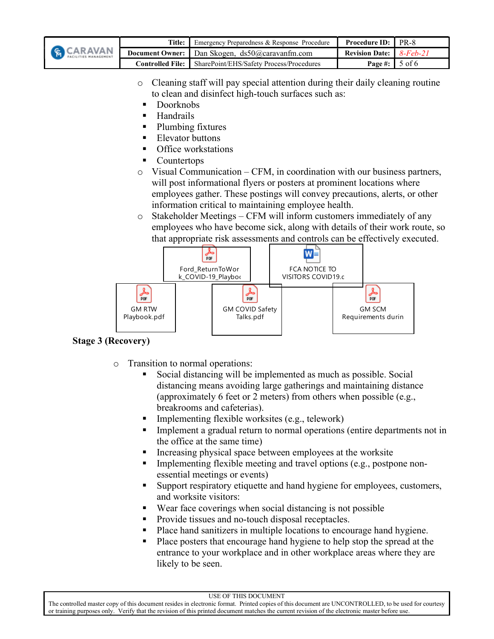| <b>GARAVAN</b> | Title:             | Emergency Preparedness & Response Procedure                          | <b>Procedure ID:</b> $\vert$ PR-8 |          |
|----------------|--------------------|----------------------------------------------------------------------|-----------------------------------|----------|
|                |                    | <b>Document Owner:</b>   Dan Skogen, $ds50$ <i>(a)</i> caravanfm.com | <b>Revision Date:</b> $8$ -Feb-21 |          |
|                | Controlled File: \ | SharePoint/EHS/Safety Process/Procedures                             | Page #: $\parallel$               | $5$ of 6 |

- o Cleaning staff will pay special attention during their daily cleaning routine to clean and disinfect high-touch surfaces such as:
- Doorknobs
- **Handrails**
- Plumbing fixtures
- **Elevator buttons**
- **•** Office workstations
- Countertops
- $\circ$  Visual Communication CFM, in coordination with our business partners, will post informational flyers or posters at prominent locations where employees gather. These postings will convey precautions, alerts, or other information critical to maintaining employee health.
- o Stakeholder Meetings CFM will inform customers immediately of any employees who have become sick, along with details of their work route, so that appropriate risk assessments and controls can be effectively executed.



### Stage 3 (Recovery)

- o Transition to normal operations:
	- Social distancing will be implemented as much as possible. Social distancing means avoiding large gatherings and maintaining distance (approximately 6 feet or 2 meters) from others when possible (e.g., breakrooms and cafeterias).
	- $\blacksquare$  Implementing flexible worksites (e.g., telework)
	- **Implement a gradual return to normal operations (entire departments not in** the office at the same time)
	- Increasing physical space between employees at the worksite
	- Implementing flexible meeting and travel options (e.g., postpone nonessential meetings or events)
	- Support respiratory etiquette and hand hygiene for employees, customers, and worksite visitors:
	- Wear face coverings when social distancing is not possible
	- **Provide tissues and no-touch disposal receptacles.**
	- Place hand sanitizers in multiple locations to encourage hand hygiene.
	- Place posters that encourage hand hygiene to help stop the spread at the entrance to your workplace and in other workplace areas where they are likely to be seen.

USE OF THIS DOCUMENT